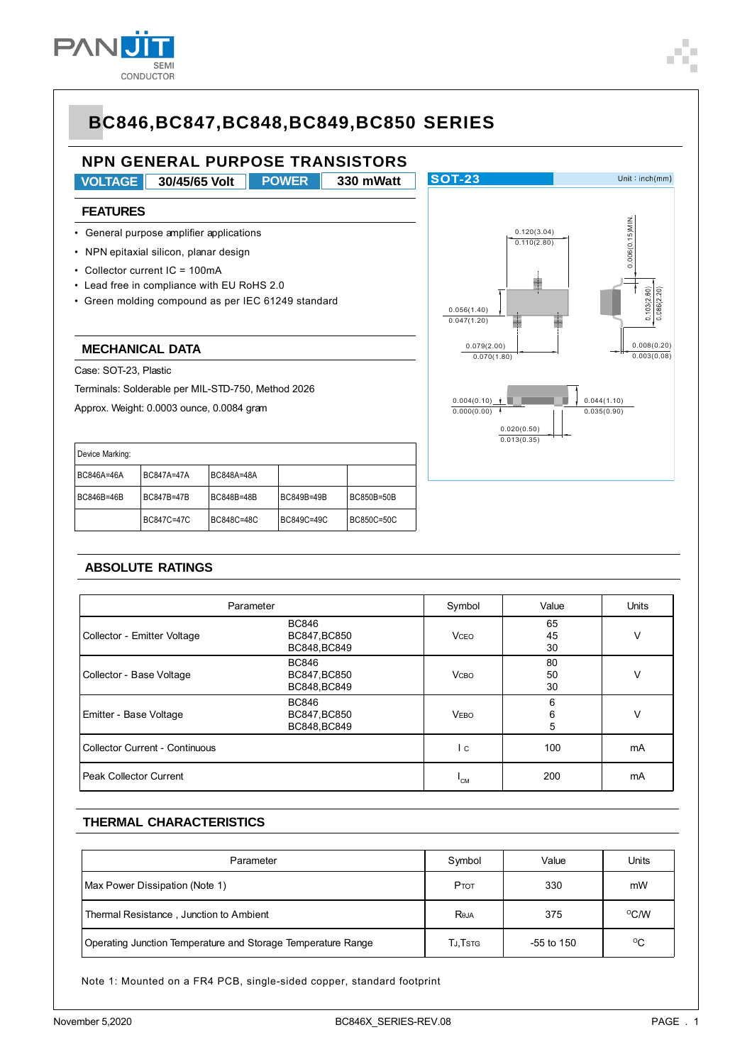

#### **NPN GENERAL PURPOSE TRANSISTORS SOT-23** Unit:  $inch(mm)$ **VOLTAGE 30/45/65 Volt 330 mWatt POWER FEATURES**  $0.006(0.15)$ MIN. 0.006(0.15)MIN. • General purpose amplifier applications 0.120(3.04)  $(0.110(2.80))$ • NPN epitaxial silicon, planar design • Collector current IC = 100mA • Lead free in compliance with EU RoHS 2.0  $103(2.60)$ 086(2 20) • Green molding compound as per IEC 61249 standard 0.056(1.40)  $0.047(1.20)$ **MECHANICAL DATA** 0.079(2.00) 0.008(0.20) 0.070(1.80) 0.003(0.08) Case: SOT-23, Plastic Terminals: Solderable per MIL-STD-750, Method 2026  $0.004(0.10)$ 0.044(1.10) Approx. Weight: 0.0003 ounce, 0.0084 gram  $0.000(0.00)$  $0.035(0.90)$ 0.020(0.50)  $0.013(0.35)$ Device Marking: BC846A=46A BC847A=47A BC848A=48A BC846B=46B BC847B=47B BC848B=48B BC849B=49B BC850B=50B BC847C=47C BC848C=48C BC849C=49C BC850C=50C

#### **ABSOLUTE RATINGS**

| Parameter                                                              | Symbol                                       | Value        | <b>Units</b>   |    |
|------------------------------------------------------------------------|----------------------------------------------|--------------|----------------|----|
| Collector - Emitter Voltage                                            | <b>BC846</b><br>BC847, BC850<br>BC848, BC849 | <b>VCEO</b>  | 65<br>45<br>30 | V  |
| Collector - Base Voltage                                               | <b>BC846</b><br>BC847, BC850<br>BC848, BC849 | <b>V</b> сво | 80<br>50<br>30 | V  |
| <b>BC846</b><br>Emitter - Base Voltage<br>BC847, BC850<br>BC848, BC849 |                                              | <b>VEBO</b>  | 6<br>6<br>5    | V  |
| <b>Collector Current - Continuous</b>                                  |                                              | I c          | 100            | mA |
| Peak Collector Current                                                 |                                              | 'CM          | 200            | mA |

#### **THERMAL CHARACTERISTICS**

| Parameter                                                    | Symbol  | Value      | Units        |
|--------------------------------------------------------------|---------|------------|--------------|
| Max Power Dissipation (Note 1)                               | PTOT    | 330        | mW           |
| Thermal Resistance, Junction to Ambient                      | Reja    | 375        | $\rm ^{O}CN$ |
| Operating Junction Temperature and Storage Temperature Range | TJ,Tstg | -55 to 150 | °C           |

Note 1: Mounted on a FR4 PCB, single-sided copper, standard footprint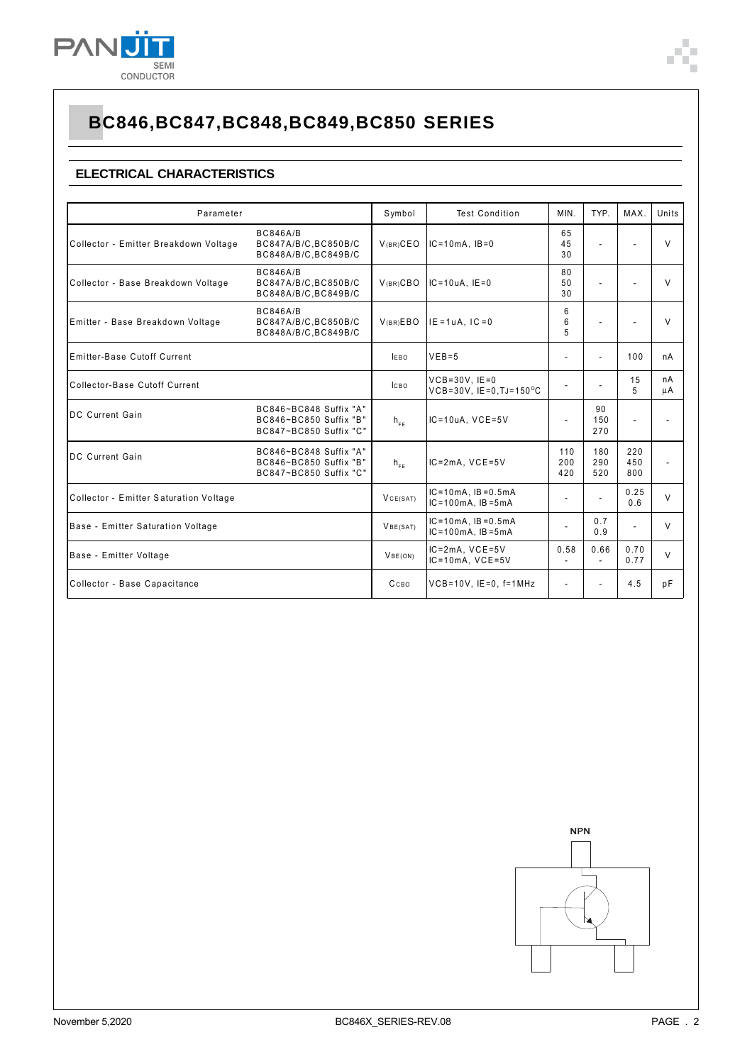

### **ELECTRICAL CHARACTERISTICS**

| Parameter                              |                                                                            | Symbol           | <b>Test Condition</b>                                   | MIN.                     | TYP.                     | MAX.                     | Units                    |
|----------------------------------------|----------------------------------------------------------------------------|------------------|---------------------------------------------------------|--------------------------|--------------------------|--------------------------|--------------------------|
| Collector - Emitter Breakdown Voltage  | <b>BC846A/B</b><br>BC847A/B/C, BC850B/C<br>BC848A/B/C, BC849B/C            | $V(BR)$ CEO      | $IC=10mA$ , $IB=0$                                      | 65<br>45<br>30           | $\overline{a}$           | $\overline{a}$           | $\vee$                   |
| Collector - Base Breakdown Voltage     | <b>BC846A/B</b><br>BC847A/B/C, BC850B/C<br>BC848A/B/C, BC849B/C            | V(BR)CBO         | $IC = 10uA$ . $IE = 0$                                  | 80<br>50<br>30           | ÷.                       |                          | $\vee$                   |
| Emitter - Base Breakdown Voltage       | <b>BC846A/B</b><br>BC847A/B/C.BC850B/C<br>BC848A/B/C, BC849B/C             | V(BR)EBO         | $IE = 1uA.$ $IC = 0$                                    | 6<br>6<br>5              | $\blacksquare$           | $\blacksquare$           | $\vee$                   |
| Emitter-Base Cutoff Current            |                                                                            | <b>IEBO</b>      | $VEB=5$                                                 | ٠                        |                          | 100                      | nA                       |
| Collector-Base Cutoff Current          |                                                                            | <b>ICBO</b>      | $VCB = 30V$ , $IE = 0$<br>VCB=30V, IE=0, TJ=150°C       | ٠                        | $\overline{\phantom{a}}$ | 15<br>5                  | nA<br>μA                 |
| <b>IDC Current Gain</b>                | BC846~BC848 Suffix "A"<br>BC846~BC850 Suffix "B"<br>BC847~BC850 Suffix "C" | $h_{FE}$         | $IC = 10uA$ , $VCE = 5V$                                | $\overline{\phantom{a}}$ | 90<br>150<br>270         | ÷,                       | $\blacksquare$           |
| <b>IDC Current Gain</b>                | BC846~BC848 Suffix "A"<br>BC846~BC850 Suffix "B"<br>BC847~BC850 Suffix "C" | $h_{FE}$         | $IC = 2mA$ , $VCE = 5V$                                 | 110<br>200<br>420        | 180<br>290<br>520        | 220<br>450<br>800        | $\overline{\phantom{a}}$ |
| Collector - Emitter Saturation Voltage |                                                                            | VCE(SAT)         | $IC = 10mA$ , $IB = 0.5mA$<br>$IC = 100mA$ , $IB = 5mA$ | $\overline{\phantom{a}}$ | $\overline{a}$           | 0.25<br>0.6              | $\vee$                   |
| Base - Emitter Saturation Voltage      |                                                                            | VBE(SAT)         | $IC = 10mA$ , $IB = 0.5mA$<br>$IC = 100mA$ , $IB = 5mA$ | $\overline{\phantom{a}}$ | 0.7<br>0.9               | $\overline{\phantom{m}}$ | V                        |
| Base - Emitter Voltage                 |                                                                            | VBE(ON)          | $IC = 2mA$ , $VCE = 5V$<br>$IC = 10mA$ , $VCE = 5V$     | 0.58<br>٠                | 0.66                     | 0.70<br>0.77             | $\vee$                   |
| Collector - Base Capacitance           |                                                                            | C <sub>CBO</sub> | $VCB = 10V$ , $IE = 0$ , $f = 1MHz$                     | $\overline{\phantom{a}}$ | $\overline{\phantom{a}}$ | 4.5                      | pF                       |

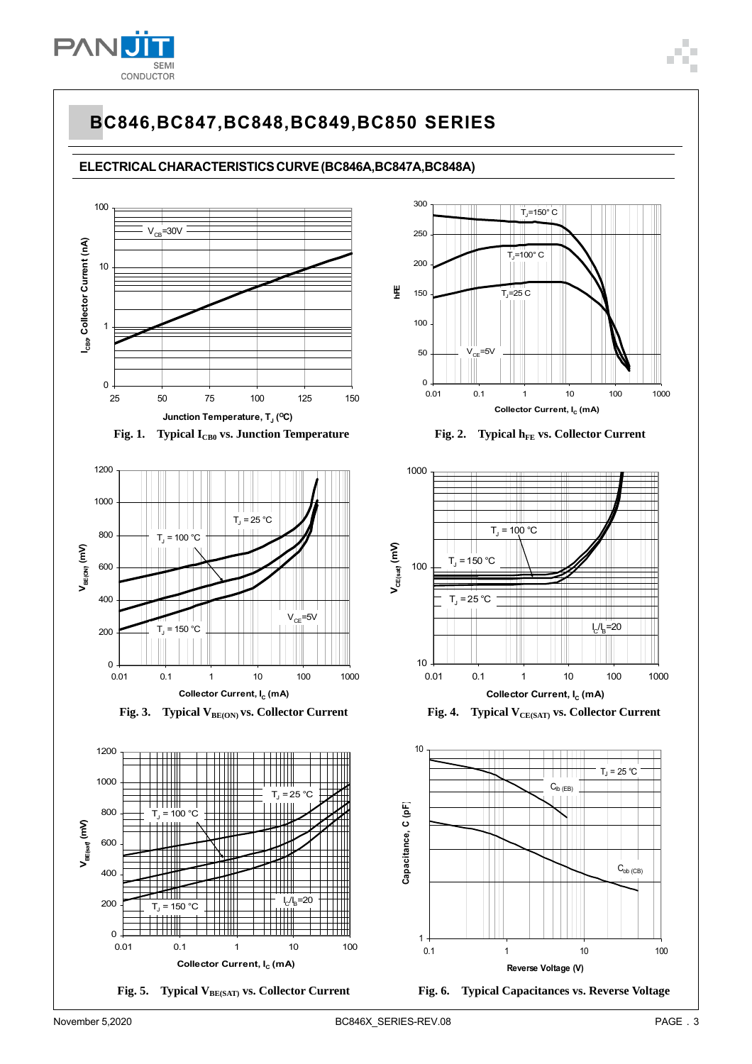

### **ELECTRICAL CHARACTERISTICS CURVE (BC846A,BC847A,BC848A)**











Fig. 5. Typical V<sub>BE(SAT)</sub> vs. Collector Current





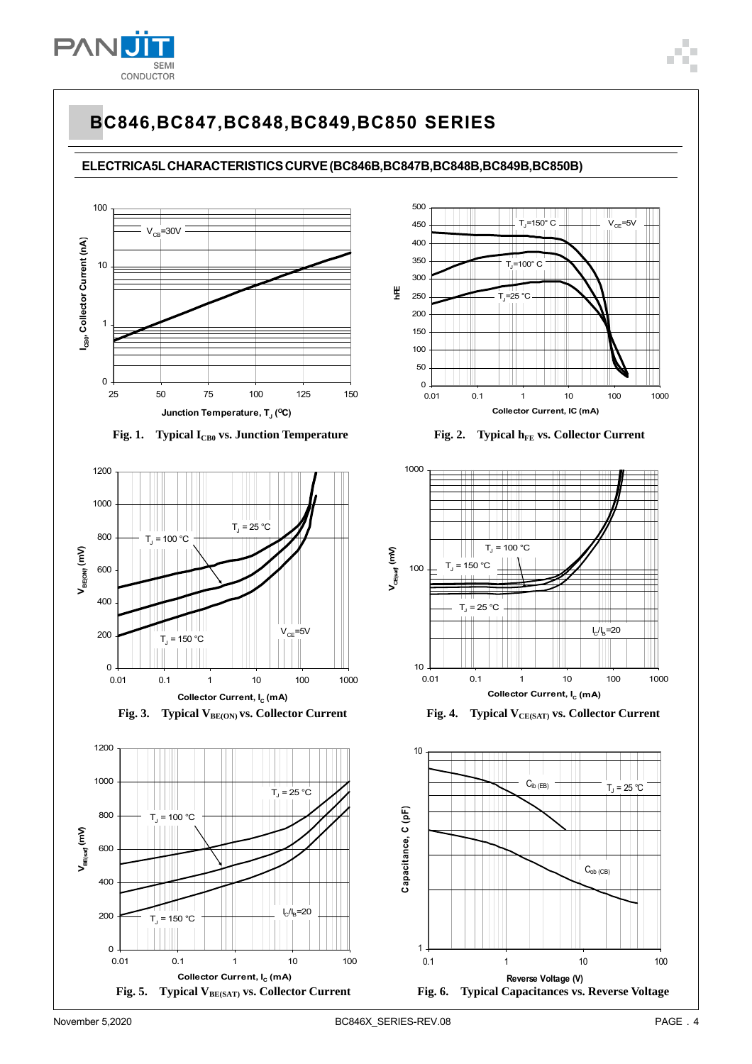

**ELECTRICA5L CHARACTERISTICS CURVE (BC846B,BC847B,BC848B,BC849B,BC850B)**















Fig. 4. Typical V<sub>CE(SAT)</sub> vs. Collector Current

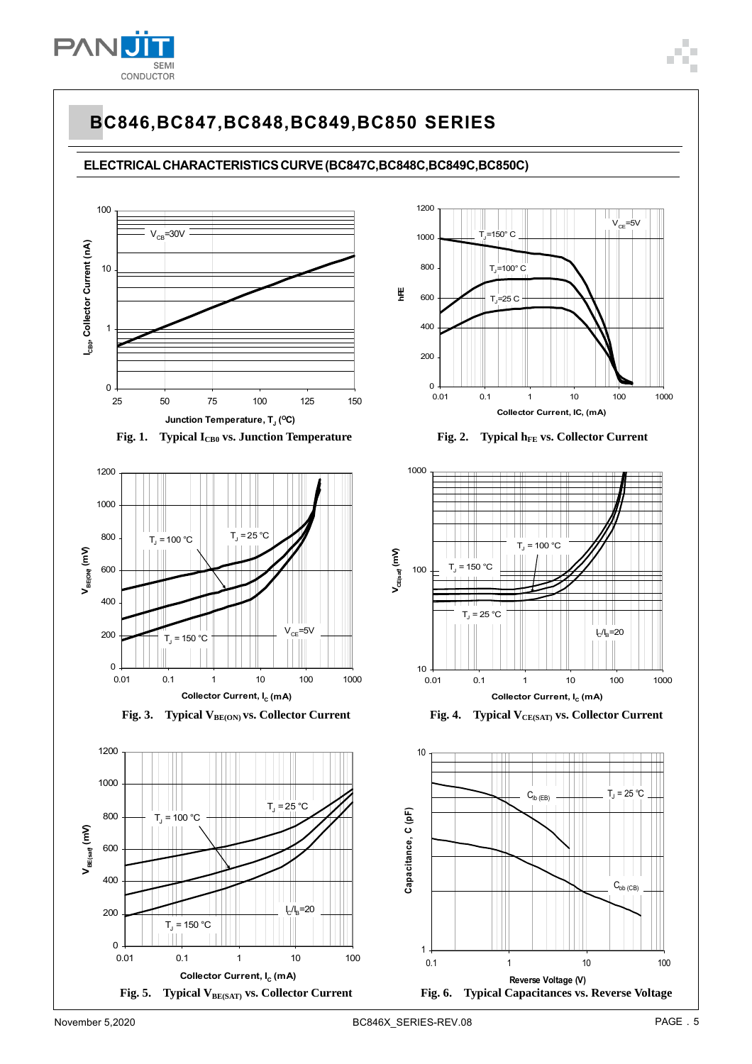

### **ELECTRICAL CHARACTERISTICS CURVE (BC847C,BC848C,BC849C,BC850C)**

















Fig. 4. Typical V<sub>CE(SAT)</sub> vs. Collector Current

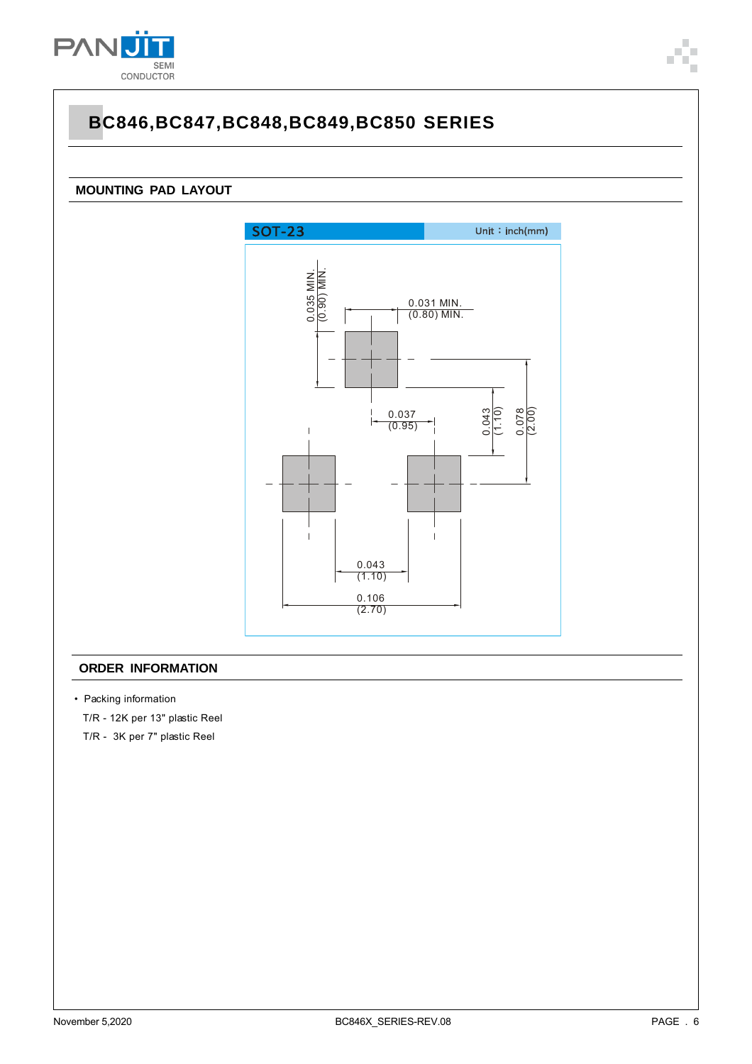

### **MOUNTING PAD LAYOUT**



#### **ORDER INFORMATION**

• Packing information

T/R - 12K per 13" plastic Reel

T/R - 3K per 7" plastic Reel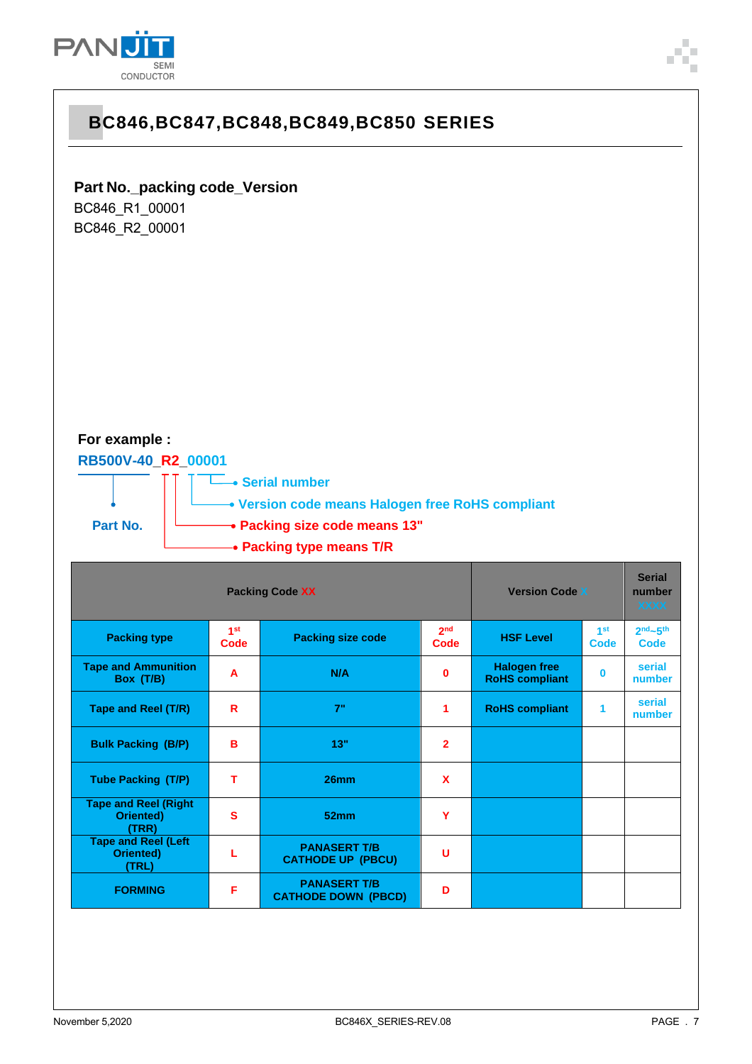



## **Part No.\_packing code\_Version**

BC846\_R1\_00001 BC846\_R2\_00001

### **For example :**

### **RB500V-40\_R2\_00001**



˙ ˙**Version code means Halogen free RoHS compliant**

**Part No.**  $\begin{bmatrix} \downarrow \end{bmatrix}$  **Packing size code means 13"** 

˙**Serial number**

### ˙**Packing type means T/R**

| <b>Packing Code XX</b>                            |                         |                                                   | <b>Version Code X</b>   |                                              | <b>Serial</b><br>number<br><b>XXXX</b> |                                |
|---------------------------------------------------|-------------------------|---------------------------------------------------|-------------------------|----------------------------------------------|----------------------------------------|--------------------------------|
| <b>Packing type</b>                               | 1 <sup>st</sup><br>Code | <b>Packing size code</b>                          | 2 <sub>nd</sub><br>Code | <b>HSF Level</b>                             | 1 <sup>st</sup><br>Code                | $2nd$ -5 <sup>th</sup><br>Code |
| <b>Tape and Ammunition</b><br>Box (T/B)           | A                       | N/A                                               | 0                       | <b>Halogen free</b><br><b>RoHS compliant</b> | $\bf{0}$                               | serial<br>number               |
| Tape and Reel (T/R)                               | R                       | 7"                                                | 1                       | <b>RoHS compliant</b>                        | 1                                      | serial<br>number               |
| <b>Bulk Packing (B/P)</b>                         | B                       | 13"                                               | $\overline{2}$          |                                              |                                        |                                |
| <b>Tube Packing (T/P)</b>                         | т                       | 26mm                                              | $\mathbf x$             |                                              |                                        |                                |
| <b>Tape and Reel (Right</b><br>Oriented)<br>(TRR) | s                       | 52mm                                              | Y                       |                                              |                                        |                                |
| <b>Tape and Reel (Left</b><br>Oriented)<br>(TRL)  |                         | <b>PANASERT T/B</b><br><b>CATHODE UP (PBCU)</b>   | U                       |                                              |                                        |                                |
| <b>FORMING</b>                                    | F                       | <b>PANASERT T/B</b><br><b>CATHODE DOWN (PBCD)</b> | D                       |                                              |                                        |                                |